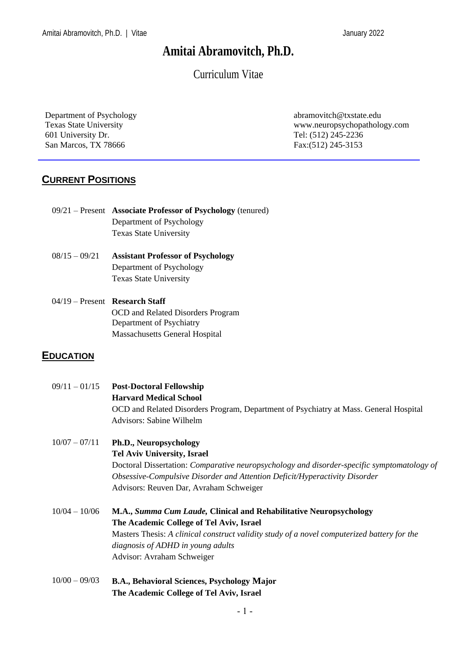# **Amitai Abramovitch, Ph.D.**

Curriculum Vitae

Department of Psychology Texas State University 601 University Dr. San Marcos, TX 78666

abramovitch@txstate.edu www.neuropsychopathology.com Tel: (512) 245-2236 Fax:(512) 245-3153

## **CURRENT POSITIONS**

| $09/21$ – Present Associate Professor of Psychology (tenured) |  |
|---------------------------------------------------------------|--|
| Department of Psychology                                      |  |
| <b>Texas State University</b>                                 |  |

- 08/15 09/21 **Assistant Professor of Psychology** Department of Psychology Texas State University
- 04/19 Present **Research Staff** OCD and Related Disorders Program Department of Psychiatry Massachusetts General Hospital

#### **EDUCATION**

| $09/11 - 01/15$ | <b>Post-Doctoral Fellowship</b>                                                                   |  |  |
|-----------------|---------------------------------------------------------------------------------------------------|--|--|
|                 | <b>Harvard Medical School</b>                                                                     |  |  |
|                 | OCD and Related Disorders Program, Department of Psychiatry at Mass. General Hospital             |  |  |
|                 | Advisors: Sabine Wilhelm                                                                          |  |  |
| $10/07 - 07/11$ | <b>Ph.D., Neuropsychology</b>                                                                     |  |  |
|                 | <b>Tel Aviv University, Israel</b>                                                                |  |  |
|                 | Doctoral Dissertation: <i>Comparative neuropsychology and disorder-specific symptomatology of</i> |  |  |
|                 | Obsessive-Compulsive Disorder and Attention Deficit/Hyperactivity Disorder                        |  |  |
|                 | Advisors: Reuven Dar, Avraham Schweiger                                                           |  |  |
| $10/04 - 10/06$ | M.A., Summa Cum Laude, Clinical and Rehabilitative Neuropsychology                                |  |  |
|                 | The Academic College of Tel Aviv, Israel                                                          |  |  |
|                 | Masters Thesis: A clinical construct validity study of a novel computerized battery for the       |  |  |
|                 | diagnosis of ADHD in young adults                                                                 |  |  |
|                 | Advisor: Avraham Schweiger                                                                        |  |  |
|                 |                                                                                                   |  |  |

10/00 – 09/03 **B.A., Behavioral Sciences, Psychology Major The Academic College of Tel Aviv, Israel**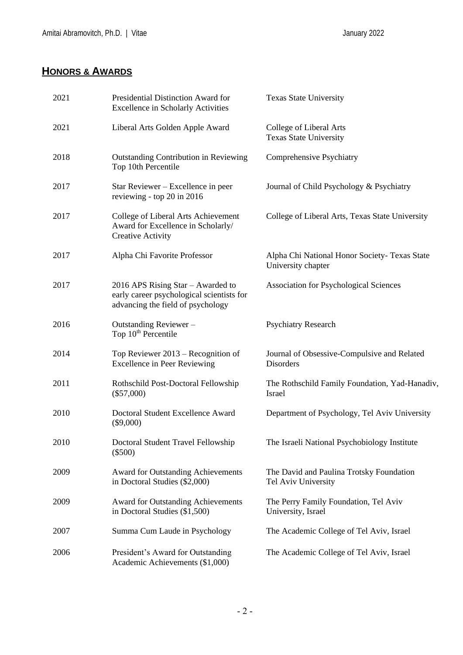# **HONORS & AWARDS**

| 2021 | Presidential Distinction Award for<br><b>Excellence in Scholarly Activities</b>                                     | <b>Texas State University</b>                                       |
|------|---------------------------------------------------------------------------------------------------------------------|---------------------------------------------------------------------|
| 2021 | Liberal Arts Golden Apple Award                                                                                     | College of Liberal Arts<br><b>Texas State University</b>            |
| 2018 | <b>Outstanding Contribution in Reviewing</b><br>Top 10th Percentile                                                 | <b>Comprehensive Psychiatry</b>                                     |
| 2017 | Star Reviewer – Excellence in peer<br>reviewing - top 20 in 2016                                                    | Journal of Child Psychology & Psychiatry                            |
| 2017 | College of Liberal Arts Achievement<br>Award for Excellence in Scholarly/<br><b>Creative Activity</b>               | College of Liberal Arts, Texas State University                     |
| 2017 | Alpha Chi Favorite Professor                                                                                        | Alpha Chi National Honor Society- Texas State<br>University chapter |
| 2017 | 2016 APS Rising Star – Awarded to<br>early career psychological scientists for<br>advancing the field of psychology | <b>Association for Psychological Sciences</b>                       |
| 2016 | Outstanding Reviewer-<br>Top 10 <sup>th</sup> Percentile                                                            | <b>Psychiatry Research</b>                                          |
| 2014 | Top Reviewer $2013$ – Recognition of<br><b>Excellence in Peer Reviewing</b>                                         | Journal of Obsessive-Compulsive and Related<br>Disorders            |
| 2011 | Rothschild Post-Doctoral Fellowship<br>$(\$57,000)$                                                                 | The Rothschild Family Foundation, Yad-Hanadiv,<br>Israel            |
| 2010 | Doctoral Student Excellence Award<br>$(\$9,000)$                                                                    | Department of Psychology, Tel Aviv University                       |
| 2010 | Doctoral Student Travel Fellowship<br>$(\$500)$                                                                     | The Israeli National Psychobiology Institute                        |
| 2009 | Award for Outstanding Achievements<br>in Doctoral Studies (\$2,000)                                                 | The David and Paulina Trotsky Foundation<br>Tel Aviv University     |
| 2009 | <b>Award for Outstanding Achievements</b><br>in Doctoral Studies (\$1,500)                                          | The Perry Family Foundation, Tel Aviv<br>University, Israel         |
| 2007 | Summa Cum Laude in Psychology                                                                                       | The Academic College of Tel Aviv, Israel                            |
| 2006 | President's Award for Outstanding<br>Academic Achievements (\$1,000)                                                | The Academic College of Tel Aviv, Israel                            |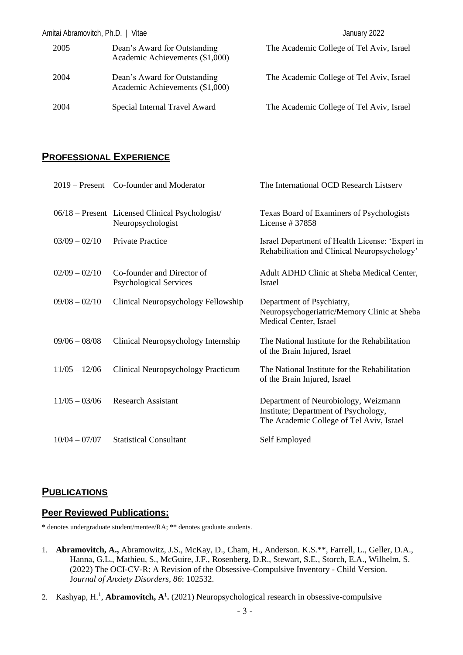| Amitai Abramovitch, Ph.D.   Vitae |                                                                 | January 2022                             |
|-----------------------------------|-----------------------------------------------------------------|------------------------------------------|
| 2005                              | Dean's Award for Outstanding<br>Academic Achievements (\$1,000) | The Academic College of Tel Aviv, Israel |
| 2004                              | Dean's Award for Outstanding<br>Academic Achievements (\$1,000) | The Academic College of Tel Aviv, Israel |
| 2004                              | Special Internal Travel Award                                   | The Academic College of Tel Aviv, Israel |

#### **PROFESSIONAL EXPERIENCE**

|                 | 2019 – Present Co-founder and Moderator                              | The International OCD Research Listserv                                                                                  |
|-----------------|----------------------------------------------------------------------|--------------------------------------------------------------------------------------------------------------------------|
|                 | 06/18 – Present Licensed Clinical Psychologist/<br>Neuropsychologist | Texas Board of Examiners of Psychologists<br>License $\#$ 37858                                                          |
| $03/09 - 02/10$ | <b>Private Practice</b>                                              | Israel Department of Health License: 'Expert in<br>Rehabilitation and Clinical Neuropsychology'                          |
| $02/09 - 02/10$ | Co-founder and Director of<br><b>Psychological Services</b>          | Adult ADHD Clinic at Sheba Medical Center,<br><b>Israel</b>                                                              |
| $09/08 - 02/10$ | Clinical Neuropsychology Fellowship                                  | Department of Psychiatry,<br>Neuropsychogeriatric/Memory Clinic at Sheba<br>Medical Center, Israel                       |
| $09/06 - 08/08$ | Clinical Neuropsychology Internship                                  | The National Institute for the Rehabilitation<br>of the Brain Injured, Israel                                            |
| $11/05 - 12/06$ | Clinical Neuropsychology Practicum                                   | The National Institute for the Rehabilitation<br>of the Brain Injured, Israel                                            |
| $11/05 - 03/06$ | <b>Research Assistant</b>                                            | Department of Neurobiology, Weizmann<br>Institute; Department of Psychology,<br>The Academic College of Tel Aviv, Israel |
| $10/04 - 07/07$ | <b>Statistical Consultant</b>                                        | Self Employed                                                                                                            |

## **PUBLICATIONS**

#### **Peer Reviewed Publications:**

\* denotes undergraduate student/mentee/RA; \*\* denotes graduate students.

- 1. **Abramovitch, A.,** Abramowitz, J.S., McKay, D., Cham, H., Anderson. K.S.\*\*, Farrell, L., Geller, D.A., Hanna, G.L., Mathieu, S., McGuire, J.F., Rosenberg, D.R., Stewart, S.E., Storch, E.A., Wilhelm, S. (2022) The OCI-CV-R: A Revision of the Obsessive-Compulsive Inventory - Child Version. J*ournal of Anxiety Disorders, 86*: 102532.
- 2. Kashyap, H.<sup>1</sup>, **Abramovitch, A<sup>1</sup>**. (2021) Neuropsychological research in obsessive-compulsive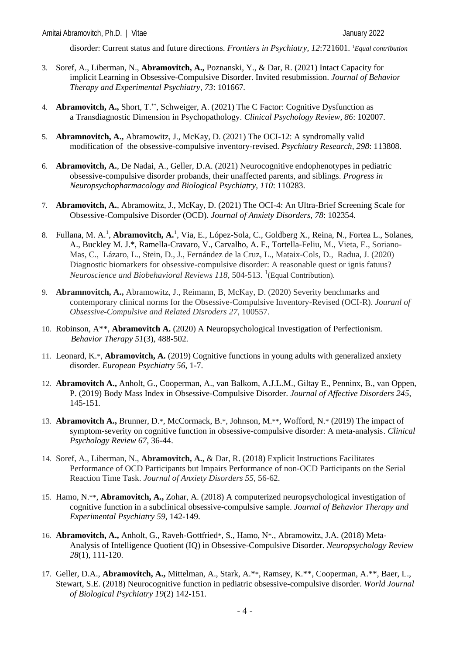disorder: Current status and future directions. *Frontiers in Psychiatry, 12*:721601. <sup>1</sup>*Equal contribution*

- 3. Soref, A., Liberman, N., **Abramovitch, A.,** Poznanski, Y., & Dar, R. (2021) Intact Capacity for implicit Learning in Obsessive-Compulsive Disorder. Invited resubmission. *Journal of Behavior Therapy and Experimental Psychiatry, 73*: 101667*.*
- 4. **Abramovitch, A.,** Short, T.\*\*, Schweiger, A. (2021) The C Factor: Cognitive Dysfunction as a Transdiagnostic Dimension in Psychopathology. *Clinical Psychology Review, 86*: 102007.
- 5. **Abramnovitch, A.,** Abramowitz, J., McKay, D. (2021) The OCI-12: A syndromally valid modification of the obsessive-compulsive inventory-revised. *Psychiatry Research, 298*: 113808.
- 6. **Abramovitch, A.**, De Nadai, A., Geller, D.A. (2021) Neurocognitive endophenotypes in pediatric obsessive-compulsive disorder probands, their unaffected parents, and siblings. *Progress in Neuropsychopharmacology and Biological Psychiatry, 110*: 110283.
- 7. **Abramovitch, A.**, Abramowitz, J., McKay, D. (2021) The OCI-4: An Ultra-Brief Screening Scale for Obsessive-Compulsive Disorder (OCD). *Journal of Anxiety Disorders, 78*: 102354.
- 8. Fullana, M. A.<sup>1</sup>, **Abramovitch, A.**<sup>1</sup>, Via, E., López-Sola, C., Goldberg X., Reina, N., Fortea L., Solanes, A., Buckley M. J.\*, Ramella-Cravaro, V., Carvalho, A. F., Tortella-Feliu, M., Vieta, E., Soriano-Mas, C., Lázaro, L., Stein, D., J., Fernández de la Cruz, L., Mataix-Cols, D., Radua, J. (2020) Diagnostic biomarkers for obsessive-compulsive disorder: A reasonable quest or ignis fatuus? Neuroscience and Biobehavioral Reviews 118, 504-513. <sup>1</sup> (Equal Contribution).
- 9. **Abramnovitch, A.,** Abramowitz, J., Reimann, B, McKay, D. (2020) Severity benchmarks and contemporary clinical norms for the Obsessive-Compulsive Inventory-Revised (OCI-R). *Jouranl of Obsessive-Compulsive and Related Disroders 27*, 100557.
- 10. Robinson, A\*\*, **Abramovitch A.** (2020) A Neuropsychological Investigation of Perfectionism. *Behavior Therapy 51*(3), 488-502*.*
- 11. Leonard, K.\*, **Abramovitch, A.** (2019) Cognitive functions in young adults with generalized anxiety disorder. *European Psychiatry 56*, 1-7.
- 12. **Abramovitch A.,** Anholt, G., Cooperman, A., van Balkom, A.J.L.M., Giltay E., Penninx, B., van Oppen, P. (2019) Body Mass Index in Obsessive-Compulsive Disorder. *Journal of Affective Disorders 245*, 145-151*.*
- 13. **Abramovitch A.,** Brunner, D.\*, McCormack, B.\*, Johnson, M.\*\*, Wofford, N.\* (2019) The impact of symptom-severity on cognitive function in obsessive-compulsive disorder: A meta-analysis. *Clinical Psychology Review 67,* 36-44.
- 14. Soref, A., Liberman, N., **Abramovitch, A.,** & Dar, R. (2018) Explicit Instructions Facilitates Performance of OCD Participants but Impairs Performance of non-OCD Participants on the Serial Reaction Time Task. *Journal of Anxiety Disorders 55*, 56-62.
- 15. Hamo, N.\*\*, **Abramovitch, A.,** Zohar, A. (2018) A computerized neuropsychological investigation of cognitive function in a subclinical obsessive-compulsive sample. *Journal of Behavior Therapy and Experimental Psychiatry 59*, 142-149.
- 16. **Abramovitch, A.,** Anholt, G., Raveh-Gottfried\*, S., Hamo, N\*., Abramowitz, J.A. (2018) Meta-Analysis of Intelligence Quotient (IQ) in Obsessive-Compulsive Disorder. *Neuropsychology Review 28*(1)*,* 111-120.
- 17. Geller, D.A., **Abramovitch, A.,** Mittelman, A., Stark, A.\*\*, Ramsey, K.\*\*, Cooperman, A.\*\*, Baer, L., Stewart, S.E. (2018) Neurocognitive function in pediatric obsessive-compulsive disorder. *World Journal of Biological Psychiatry 19*(2) 142-151.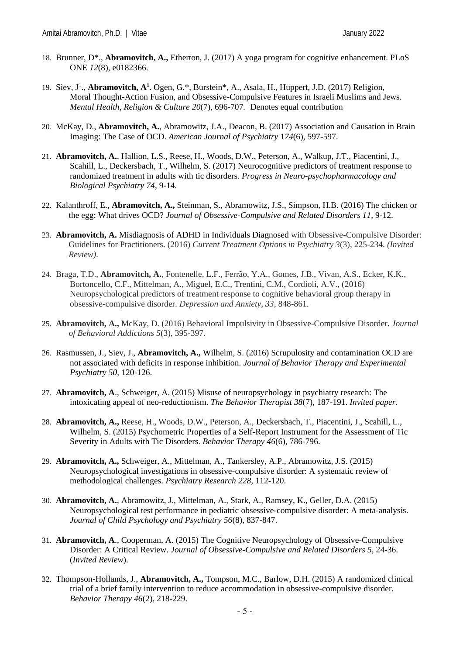- 18. Brunner, D\*., **Abramovitch, A.,** Etherton, J. (2017) A yoga program for cognitive enhancement. PLoS ONE *12*(8), e0182366.
- 19. Siev, J<sup>1</sup>., **Abramovitch, A<sup>1</sup>**. Ogen, G.\*, Burstein\*, A., Asala, H., Huppert, J.D. (2017) Religion, Moral Thought-Action Fusion, and Obsessive-Compulsive Features in Israeli Muslims and Jews. *Mental Health, Religion & Culture 20*(7), 696-707*.* <sup>1</sup>Denotes equal contribution
- 20. McKay, D., **Abramovitch, A.**, Abramowitz, J.A., Deacon, B. (2017) Association and Causation in Brain Imaging: The Case of OCD. *American Journal of Psychiatry* 1*74*(6), 597-597.
- 21. **Abramovitch, A.**, Hallion, L.S., Reese, H., Woods, D.W., Peterson, A., Walkup, J.T., Piacentini, J., Scahill, L., Deckersbach, T., Wilhelm, S. (2017) Neurocognitive predictors of treatment response to randomized treatment in adults with tic disorders. *Progress in Neuro-psychopharmacology and Biological Psychiatry 74*, 9-14*.*
- 22. Kalanthroff, E., **Abramovitch, A.,** Steinman, S., Abramowitz, J.S., Simpson, H.B. (2016) The chicken or the egg: What drives OCD? *Journal of Obsessive-Compulsive and Related Disorders 11*, 9-12.
- 23. **Abramovitch, A.** Misdiagnosis of ADHD in Individuals Diagnosed with Obsessive-Compulsive Disorder: Guidelines for Practitioners. (2016) *Current Treatment Options in Psychiatry 3*(3), 225-234. *(Invited Review).*
- 24. Braga, T.D., **Abramovitch, A.**, Fontenelle, L.F., Ferrão, Y.A., Gomes, J.B., Vivan, A.S., Ecker, K.K., Bortoncello, C.F., Mittelman, A., Miguel, E.C., Trentini, C.M., Cordioli, A.V., (2016) Neuropsychological predictors of treatment response to cognitive behavioral group therapy in obsessive-compulsive disorder. *Depression and Anxiety*, *33,* 848-861.
- 25. **Abramovitch, A.,** McKay, D. (2016) Behavioral Impulsivity in Obsessive-Compulsive Disorder**.** *Journal*  *of Behavioral Addictions 5*(3), 395-397.
- 26. Rasmussen, J., Siev, J., **Abramovitch, A.,** Wilhelm, S. (2016) Scrupulosity and contamination OCD are not associated with deficits in response inhibition. *Journal of Behavior Therapy and Experimental Psychiatry 50,* 120-126.
- 27. **Abramovitch, A**., Schweiger, A. (2015) Misuse of neuropsychology in psychiatry research: The intoxicating appeal of neo-reductionism. *The Behavior Therapist 38*(7), 187-191. *Invited paper.*
- 28. **Abramovitch, A.,** Reese, H., Woods, D.W., Peterson, A., Deckersbach, T., Piacentini, J., Scahill, L., Wilhelm, S. (2015) Psychometric Properties of a Self-Report Instrument for the Assessment of Tic Severity in Adults with Tic Disorders. *Behavior Therapy 46*(6), 786-796.
- 29. **Abramovitch, A.,** Schweiger, A., Mittelman, A., Tankersley, A.P., Abramowitz, J.S. (2015) Neuropsychological investigations in obsessive-compulsive disorder: A systematic review of methodological challenges. *Psychiatry Research 228,* 112-120.
- 30. **Abramovitch, A.**, Abramowitz, J., Mittelman, A., Stark, A., Ramsey, K., Geller, D.A. (2015) Neuropsychological test performance in pediatric obsessive-compulsive disorder: A meta-analysis. *Journal of Child Psychology and Psychiatry 56*(8), 837-847.
- 31. **Abramovitch, A**., Cooperman, A. (2015) The Cognitive Neuropsychology of Obsessive-Compulsive Disorder: A Critical Review. *Journal of Obsessive-Compulsive and Related Disorders 5,* 24-36. (*Invited Review*).
- 32. Thompson-Hollands, J., **Abramovitch, A.,** Tompson, M.C., Barlow, D.H. (2015) A randomized clinical trial of a brief family intervention to reduce accommodation in obsessive-compulsive disorder*. Behavior Therapy 46*(2), 218-229.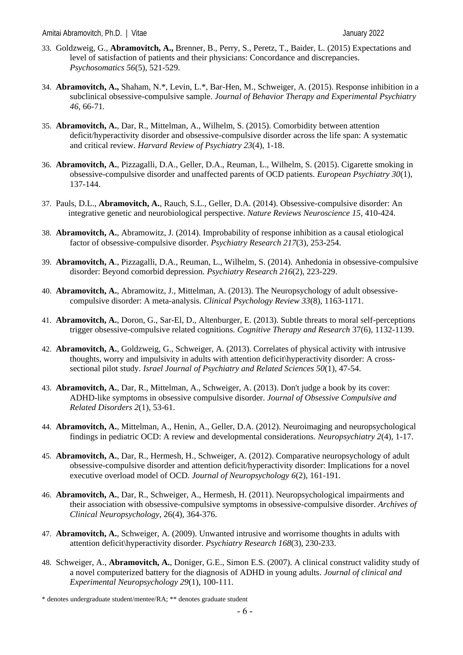- 33. Goldzweig, G., **Abramovitch, A.,** Brenner, B., Perry, S., Peretz, T., Baider, L. (2015) Expectations and level of satisfaction of patients and their physicians: Concordance and discrepancies. *Psychosomatics 56*(5), 521-529.
- 34. **Abramovitch, A.,** Shaham, N.\*, Levin, L.\*, Bar-Hen, M., Schweiger, A. (2015). Response inhibition in a subclinical obsessive-compulsive sample. *Journal of Behavior Therapy and Experimental Psychiatry 46*, 66-71*.*
- 35. **Abramovitch, A.**, Dar, R., Mittelman, A., Wilhelm, S. (2015). Comorbidity between attention deficit/hyperactivity disorder and obsessive-compulsive disorder across the life span: A systematic and critical review. *Harvard Review of Psychiatry 23*(4), 1-18.
- 36. **Abramovitch, A.**, Pizzagalli, D.A., Geller, D.A., Reuman, L., Wilhelm, S. (2015). Cigarette smoking in obsessive-compulsive disorder and unaffected parents of OCD patients. *European Psychiatry 30*(1), 137-144.
- 37. Pauls, D.L., **Abramovitch, A.**, Rauch, S.L., Geller, D.A. (2014). Obsessive-compulsive disorder: An integrative genetic and neurobiological perspective. *Nature Reviews Neuroscience 15*, 410-424.
- 38. **Abramovitch, A.**, Abramowitz, J. (2014). Improbability of response inhibition as a causal etiological factor of obsessive-compulsive disorder. *Psychiatry Research 217*(3), 253-254.
- 39. **Abramovitch, A**., Pizzagalli, D.A., Reuman, L., Wilhelm, S. (2014). Anhedonia in obsessive-compulsive disorder: Beyond comorbid depression. *Psychiatry Research 216*(2), 223-229.
- 40. **Abramovitch, A.**, Abramowitz, J., Mittelman, A. (2013). The Neuropsychology of adult obsessivecompulsive disorder: A meta-analysis. *Clinical Psychology Review 33*(8), 1163-1171.
- 41. **Abramovitch, A.**, Doron, G., Sar-El, D., Altenburger, E. (2013). Subtle threats to moral self-perceptions trigger obsessive-compulsive related cognitions. *Cognitive Therapy and Research* 37(6), 1132-1139.
- 42. **Abramovitch, A.**, Goldzweig, G., Schweiger, A. (2013). Correlates of physical activity with intrusive thoughts, worry and impulsivity in adults with attention deficit\hyperactivity disorder: A crosssectional pilot study. *Israel Journal of Psychiatry and Related Sciences 50*(1), 47-54.
- 43. **Abramovitch, A.**, Dar, R., Mittelman, A., Schweiger, A. (2013). Don't judge a book by its cover: ADHD-like symptoms in obsessive compulsive disorder. *Journal of Obsessive Compulsive and Related Disorders 2*(1), 53-61.
- 44. **Abramovitch, A.**, Mittelman, A., Henin, A., Geller, D.A. (2012). Neuroimaging and neuropsychological findings in pediatric OCD: A review and developmental considerations. *Neuropsychiatry 2*(4), 1-17.
- 45. **Abramovitch, A.**, Dar, R., Hermesh, H., Schweiger, A. (2012). Comparative neuropsychology of adult obsessive-compulsive disorder and attention deficit/hyperactivity disorder: Implications for a novel executive overload model of OCD*. Journal of Neuropsychology 6*(2), 161-191.
- 46. **Abramovitch, A.**, Dar, R., Schweiger, A., Hermesh, H. (2011). Neuropsychological impairments and their association with obsessive-compulsive symptoms in obsessive-compulsive disorder. *Archives of Clinical Neuropsychology*, 26(4), 364-376.
- 47. **Abramovitch, A.**, Schweiger, A. (2009). Unwanted intrusive and worrisome thoughts in adults with attention deficit\hyperactivity disorder. *Psychiatry Research 168*(3), 230-233.
- 48. Schweiger, A., **Abramovitch, A.**, Doniger, G.E., Simon E.S. (2007). A clinical construct validity study of a novel computerized battery for the diagnosis of ADHD in young adults. *Journal of clinical and Experimental Neuropsychology 29*(1), 100-111.

<sup>\*</sup> denotes undergraduate student/mentee/RA; \*\* denotes graduate student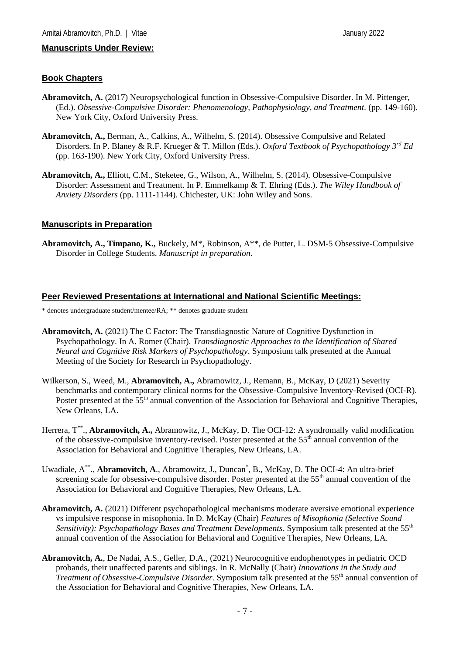#### **Book Chapters**

- **Abramovitch, A.** (2017) Neuropsychological function in Obsessive-Compulsive Disorder. In M. Pittenger, (Ed.). *Obsessive-Compulsive Disorder: Phenomenology, Pathophysiology, and Treatment.* (pp. 149-160). New York City, Oxford University Press.
- **Abramovitch, A.,** Berman, A., Calkins, A., Wilhelm, S. (2014). Obsessive Compulsive and Related Disorders. In P. Blaney & R.F. Krueger & T. Millon (Eds.). *Oxford Textbook of Psychopathology 3rd Ed* (pp. 163-190). New York City, Oxford University Press.
- **Abramovitch, A.,** Elliott, C.M., Steketee, G., Wilson, A., Wilhelm, S. (2014). Obsessive-Compulsive Disorder: Assessment and Treatment. In P. Emmelkamp & T. Ehring (Eds.). *The Wiley Handbook of Anxiety Disorders* (pp. 1111-1144). Chichester, UK: John Wiley and Sons.

#### **Manuscripts in Preparation**

**Abramovitch, A., Timpano, K.,** Buckely, M\*, Robinson, A\*\*, de Putter, L. DSM-5 Obsessive-Compulsive Disorder in College Students. *Manuscript in preparation*.

#### **Peer Reviewed Presentations at International and National Scientific Meetings:**

\* denotes undergraduate student/mentee/RA; \*\* denotes graduate student

- **Abramovitch, A.** (2021) The C Factor: The Transdiagnostic Nature of Cognitive Dysfunction in Psychopathology. In A. Romer (Chair). *Transdiagnostic Approaches to the Identification of Shared Neural and Cognitive Risk Markers of Psychopathology*. Symposium talk presented at the Annual Meeting of the Society for Research in Psychopathology.
- Wilkerson, S., Weed, M., **Abramovitch, A.,** Abramowitz, J., Remann, B., McKay, D (2021) Severity benchmarks and contemporary clinical norms for the Obsessive-Compulsive Inventory-Revised (OCI-R). Poster presented at the 55<sup>th</sup> annual convention of the Association for Behavioral and Cognitive Therapies, New Orleans, LA.
- Herrera, T<sup>\*\*</sup>., **Abramovitch, A.,** Abramowitz, J., McKay, D. The OCI-12: A syndromally valid modification of the obsessive-compulsive inventory-revised. Poster presented at the 55<sup>th</sup> annual convention of the Association for Behavioral and Cognitive Therapies, New Orleans, LA.
- Uwadiale, A<sup>\*\*</sup>., **Abramovitch, A**., Abramowitz, J., Duncan<sup>\*</sup>, B., McKay, D. The OCI-4: An ultra-brief screening scale for obsessive-compulsive disorder. Poster presented at the 55<sup>th</sup> annual convention of the Association for Behavioral and Cognitive Therapies, New Orleans, LA.
- **Abramovitch, A.** (2021) Different psychopathological mechanisms moderate aversive emotional experience vs impulsive response in misophonia. In D. McKay (Chair) *Features of Misophonia (Selective Sound Sensitivity): Psychopathology Bases and Treatment Developments.* Symposium talk presented at the 55<sup>th</sup> annual convention of the Association for Behavioral and Cognitive Therapies, New Orleans, LA.
- **Abramovitch, A.**, De Nadai, A.S., Geller, D.A., (2021) Neurocognitive endophenotypes in pediatric OCD probands, their unaffected parents and siblings. In R. McNally (Chair) *Innovations in the Study and Treatment of Obsessive-Compulsive Disorder.* Symposium talk presented at the 55<sup>th</sup> annual convention of the Association for Behavioral and Cognitive Therapies, New Orleans, LA.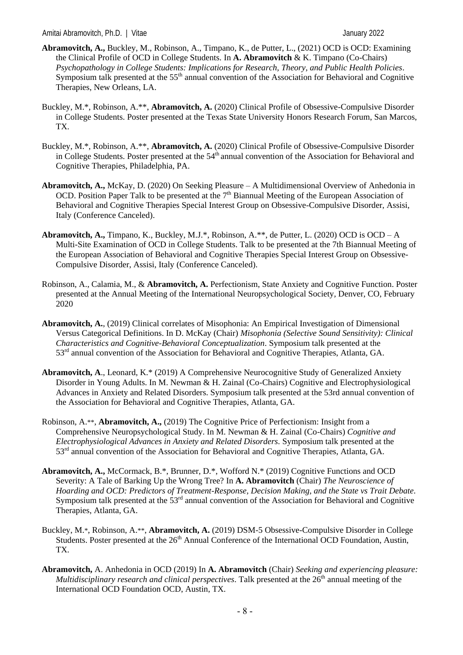- **Abramovitch, A.,** Buckley, M., Robinson, A., Timpano, K., de Putter, L., (2021) OCD is OCD: Examining the Clinical Profile of OCD in College Students. In **A. Abramovitch** & K. Timpano (Co-Chairs) *Psychopathology in College Students: Implications for Research, Theory, and Public Health Policies*. Symposium talk presented at the 55<sup>th</sup> annual convention of the Association for Behavioral and Cognitive Therapies, New Orleans, LA.
- Buckley, M.\*, Robinson, A.\*\*, **Abramovitch, A.** (2020) Clinical Profile of Obsessive-Compulsive Disorder in College Students. Poster presented at the Texas State University Honors Research Forum, San Marcos, TX.
- Buckley, M.\*, Robinson, A.\*\*, **Abramovitch, A.** (2020) Clinical Profile of Obsessive-Compulsive Disorder in College Students. Poster presented at the 54<sup>th</sup> annual convention of the Association for Behavioral and Cognitive Therapies, Philadelphia, PA.
- **Abramovitch, A.,** McKay, D. (2020) On Seeking Pleasure A Multidimensional Overview of Anhedonia in OCD. Position Paper Talk to be presented at the  $7<sup>th</sup>$  Biannual Meeting of the European Association of Behavioral and Cognitive Therapies Special Interest Group on Obsessive-Compulsive Disorder, Assisi, Italy (Conference Canceled).
- **Abramovitch, A.,** Timpano, K., Buckley, M.J.\*, Robinson, A.\*\*, de Putter, L. (2020) OCD is OCD A Multi-Site Examination of OCD in College Students. Talk to be presented at the 7th Biannual Meeting of the European Association of Behavioral and Cognitive Therapies Special Interest Group on Obsessive-Compulsive Disorder, Assisi, Italy (Conference Canceled).
- Robinson, A., Calamia, M., & **Abramovitch, A.** Perfectionism, State Anxiety and Cognitive Function. Poster presented at the Annual Meeting of the International Neuropsychological Society*,* Denver, CO, February 2020
- **Abramovitch, A.**, (2019) Clinical correlates of Misophonia: An Empirical Investigation of Dimensional Versus Categorical Definitions. In D. McKay (Chair) *Misophonia (Selective Sound Sensitivity): Clinical Characteristics and Cognitive-Behavioral Conceptualization*. Symposium talk presented at the 53<sup>rd</sup> annual convention of the Association for Behavioral and Cognitive Therapies, Atlanta, GA.
- **Abramovitch, A**., Leonard, K.\* (2019) A Comprehensive Neurocognitive Study of Generalized Anxiety Disorder in Young Adults. In M. Newman & H. Zainal (Co-Chairs) Cognitive and Electrophysiological Advances in Anxiety and Related Disorders. Symposium talk presented at the 53rd annual convention of the Association for Behavioral and Cognitive Therapies, Atlanta, GA.
- Robinson, A.\*\*, **Abramovitch, A.,** (2019) The Cognitive Price of Perfectionism: Insight from a Comprehensive Neuropsychological Study. In M. Newman & H. Zainal (Co-Chairs) *Cognitive and Electrophysiological Advances in Anxiety and Related Disorders.* Symposium talk presented at the 53rd annual convention of the Association for Behavioral and Cognitive Therapies, Atlanta, GA.
- **Abramovitch, A.,** McCormack, B.\*, Brunner, D.\*, Wofford N.\* (2019) Cognitive Functions and OCD Severity: A Tale of Barking Up the Wrong Tree? In **A. Abramovitch** (Chair) *The Neuroscience of Hoarding and OCD: Predictors of Treatment-Response, Decision Making, and the State vs Trait Debate.* Symposium talk presented at the 53<sup>rd</sup> annual convention of the Association for Behavioral and Cognitive Therapies, Atlanta, GA.
- Buckley, M.\*, Robinson, A.\*\*, **Abramovitch, A.** (2019) DSM-5 Obsessive-Compulsive Disorder in College Students. Poster presented at the 26<sup>th</sup> Annual Conference of the International OCD Foundation, Austin, TX.
- **Abramovitch,** A. Anhedonia in OCD (2019) In **A. Abramovitch** (Chair) *Seeking and experiencing pleasure: Multidisciplinary research and clinical perspectives.* Talk presented at the  $26<sup>th</sup>$  annual meeting of the International OCD Foundation OCD, Austin, TX.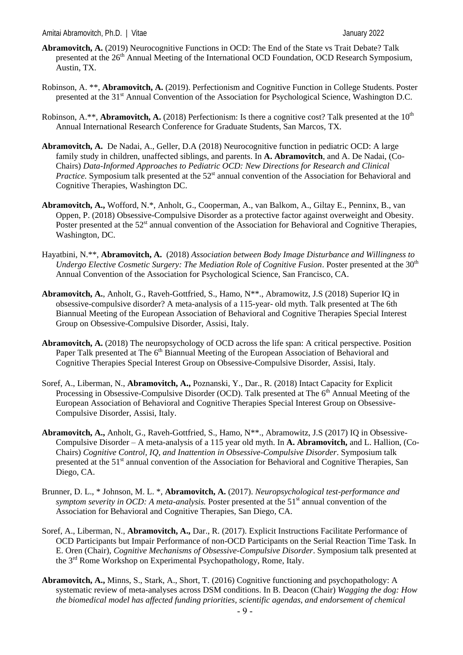- **Abramovitch, A.** (2019) Neurocognitive Functions in OCD: The End of the State vs Trait Debate? Talk presented at the 26<sup>th</sup> Annual Meeting of the International OCD Foundation, OCD Research Symposium, Austin, TX.
- Robinson, A. \*\*, **Abramovitch, A.** (2019). Perfectionism and Cognitive Function in College Students. Poster presented at the 31<sup>st</sup> Annual Convention of the Association for Psychological Science, Washington D.C.
- Robinson, A.\*\*, **Abramovitch, A.** (2018) Perfectionism: Is there a cognitive cost? Talk presented at the 10<sup>th</sup> Annual International Research Conference for Graduate Students, San Marcos, TX.
- **Abramovitch, A.** De Nadai, A., Geller, D.A (2018) Neurocognitive function in pediatric OCD: A large family study in children, unaffected siblings, and parents. In **A. Abramovitch**, and A. De Nadai, (Co-Chairs) *Data-Informed Approaches to Pediatric OCD: New Directions for Research and Clinical*  Practice. Symposium talk presented at the 52<sup>st</sup> annual convention of the Association for Behavioral and Cognitive Therapies, Washington DC.
- **Abramovitch, A.,** Wofford, N.\*, Anholt, G., Cooperman, A., van Balkom, A., Giltay E., Penninx, B., van Oppen, P. (2018) Obsessive-Compulsive Disorder as a protective factor against overweight and Obesity. Poster presented at the 52<sup>st</sup> annual convention of the Association for Behavioral and Cognitive Therapies, Washington, DC.
- Hayatbini, N.\*\*, **Abramovitch, A.** (2018) *Association between Body Image Disturbance and Willingness to Undergo Elective Cosmetic Surgery: The Mediation Role of Cognitive Fusion.* Poster presented at the 30<sup>th</sup> Annual Convention of the Association for Psychological Science, San Francisco, CA.
- **Abramovitch, A.**, Anholt, G., Raveh-Gottfried, S., Hamo, N\*\*., Abramowitz, J.S (2018) Superior IQ in obsessive-compulsive disorder? A meta-analysis of a 115-year- old myth. Talk presented at The 6th Biannual Meeting of the European Association of Behavioral and Cognitive Therapies Special Interest Group on Obsessive-Compulsive Disorder, Assisi, Italy.
- **Abramovitch, A.** (2018) The neuropsychology of OCD across the life span: A critical perspective. Position Paper Talk presented at The 6<sup>th</sup> Biannual Meeting of the European Association of Behavioral and Cognitive Therapies Special Interest Group on Obsessive-Compulsive Disorder, Assisi, Italy.
- Soref, A., Liberman, N., **Abramovitch, A.,** Poznanski, Y., Dar., R. (2018) Intact Capacity for Explicit Processing in Obsessive-Compulsive Disorder (OCD). Talk presented at The 6<sup>th</sup> Annual Meeting of the European Association of Behavioral and Cognitive Therapies Special Interest Group on Obsessive-Compulsive Disorder, Assisi, Italy.
- **Abramovitch, A.,** Anholt, G., Raveh-Gottfried, S., Hamo, N\*\*., Abramowitz, J.S (2017) IQ in Obsessive-Compulsive Disorder – A meta-analysis of a 115 year old myth. In **A. Abramovitch,** and L. Hallion, (Co-Chairs) *Cognitive Control, IQ, and Inattention in Obsessive-Compulsive Disorder*. Symposium talk presented at the 51<sup>st</sup> annual convention of the Association for Behavioral and Cognitive Therapies, San Diego, CA.
- Brunner, D. L., \* Johnson, M. L. \*, **Abramovitch, A.** (2017). *Neuropsychological test-performance and symptom severity in OCD: A meta-analysis.* Poster presented at the 51<sup>st</sup> annual convention of the Association for Behavioral and Cognitive Therapies, San Diego, CA.
- Soref, A., Liberman, N., **Abramovitch, A.,** Dar., R. (2017). Explicit Instructions Facilitate Performance of OCD Participants but Impair Performance of non-OCD Participants on the Serial Reaction Time Task. In E. Oren (Chair), *Cognitive Mechanisms of Obsessive-Compulsive Disorder*. Symposium talk presented at the 3rd Rome Workshop on Experimental Psychopathology, Rome, Italy.
- **Abramovitch, A.,** Minns, S., Stark, A., Short, T. (2016) Cognitive functioning and psychopathology: A systematic review of meta-analyses across DSM conditions. In B. Deacon (Chair) *Wagging the dog: How the biomedical model has affected funding priorities, scientific agendas, and endorsement of chemical*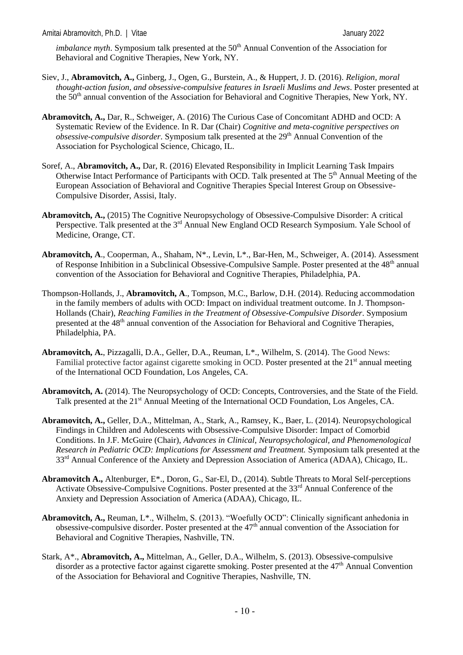*imbalance myth.* Symposium talk presented at the 50<sup>th</sup> Annual Convention of the Association for Behavioral and Cognitive Therapies, New York, NY.

- Siev, J., **Abramovitch, A.,** Ginberg, J., Ogen, G., Burstein, A., & Huppert, J. D. (2016). *Religion, moral thought-action fusion, and obsessive-compulsive features in Israeli Muslims and Jews*. Poster presented at the 50<sup>th</sup> annual convention of the Association for Behavioral and Cognitive Therapies, New York, NY.
- **Abramovitch, A.,** Dar, R., Schweiger, A. (2016) The Curious Case of Concomitant ADHD and OCD: A Systematic Review of the Evidence. In R. Dar (Chair) *Cognitive and meta-cognitive perspectives on obsessive-compulsive disorder*. Symposium talk presented at the 29<sup>th</sup> Annual Convention of the Association for Psychological Science, Chicago, IL.
- Soref, A., **Abramovitch, A.,** Dar, R. (2016) Elevated Responsibility in Implicit Learning Task Impairs Otherwise Intact Performance of Participants with OCD. Talk presented at The 5<sup>th</sup> Annual Meeting of the European Association of Behavioral and Cognitive Therapies Special Interest Group on Obsessive-Compulsive Disorder, Assisi, Italy.
- **Abramovitch, A.,** (2015) The Cognitive Neuropsychology of Obsessive-Compulsive Disorder: A critical Perspective. Talk presented at the 3<sup>rd</sup> Annual New England OCD Research Symposium. Yale School of Medicine, Orange, CT.
- **Abramovitch, A**., Cooperman, A., Shaham, N\*., Levin, L\*., Bar-Hen, M., Schweiger, A. (2014). Assessment of Response Inhibition in a Subclinical Obsessive-Compulsive Sample. Poster presented at the 48<sup>th</sup> annual convention of the Association for Behavioral and Cognitive Therapies, Philadelphia, PA.
- Thompson-Hollands, J., **Abramovitch, A**., Tompson, M.C., Barlow, D.H. (2014). Reducing accommodation in the family members of adults with OCD: Impact on individual treatment outcome. In J. Thompson-Hollands (Chair), *Reaching Families in the Treatment of Obsessive-Compulsive Disorder*. Symposium presented at the 48th annual convention of the Association for Behavioral and Cognitive Therapies, Philadelphia, PA.
- **Abramovitch, A.**, Pizzagalli, D.A., Geller, D.A., Reuman, L\*., Wilhelm, S. (2014). The Good News: Familial protective factor against cigarette smoking in OCD. Poster presented at the 21<sup>st</sup> annual meeting of the International OCD Foundation, Los Angeles, CA.
- **Abramovitch, A.** (2014). The Neuropsychology of OCD: Concepts, Controversies, and the State of the Field. Talk presented at the 21<sup>st</sup> Annual Meeting of the International OCD Foundation, Los Angeles, CA.
- **Abramovitch, A.,** Geller, D.A., Mittelman, A., Stark, A., Ramsey, K., Baer, L. (2014). Neuropsychological Findings in Children and Adolescents with Obsessive-Compulsive Disorder: Impact of Comorbid Conditions. In J.F. McGuire (Chair), *Advances in Clinical, Neuropsychological, and Phenomenological Research in Pediatric OCD: Implications for Assessment and Treatment.* Symposium talk presented at the 33<sup>rd</sup> Annual Conference of the Anxiety and Depression Association of America (ADAA), Chicago, IL.
- **Abramovitch A.,** Altenburger, E\*., Doron, G., Sar-El, D., (2014). Subtle Threats to Moral Self-perceptions Activate Obsessive-Compulsive Cognitions. Poster presented at the 33<sup>rd</sup> Annual Conference of the Anxiety and Depression Association of America (ADAA), Chicago, IL.
- **Abramovitch, A.,** Reuman, L\*., Wilhelm, S. (2013). "Woefully OCD": Clinically significant anhedonia in obsessive-compulsive disorder. Poster presented at the 47<sup>th</sup> annual convention of the Association for Behavioral and Cognitive Therapies, Nashville, TN.
- Stark, A\*., **Abramovitch, A.,** Mittelman, A., Geller, D.A., Wilhelm, S. (2013). Obsessive-compulsive disorder as a protective factor against cigarette smoking. Poster presented at the 47<sup>th</sup> Annual Convention of the Association for Behavioral and Cognitive Therapies, Nashville, TN.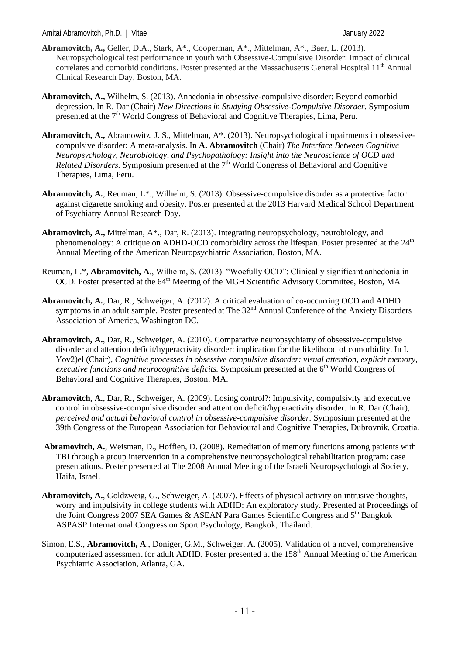- **Abramovitch, A.,** Geller, D.A., Stark, A\*., Cooperman, A\*., Mittelman, A\*., Baer, L. (2013). Neuropsychological test performance in youth with Obsessive-Compulsive Disorder: Impact of clinical correlates and comorbid conditions. Poster presented at the Massachusetts General Hospital 11<sup>th</sup> Annual Clinical Research Day, Boston, MA.
- **Abramovitch, A.,** Wilhelm, S. (2013). Anhedonia in obsessive-compulsive disorder: Beyond comorbid depression. In R. Dar (Chair) *New Directions in Studying Obsessive-Compulsive Disorder.* Symposium presented at the 7<sup>th</sup> World Congress of Behavioral and Cognitive Therapies, Lima, Peru.
- **Abramovitch, A.,** Abramowitz, J. S., Mittelman, A\*. (2013). Neuropsychological impairments in obsessivecompulsive disorder: A meta-analysis. In **A. Abramovitch** (Chair) *The Interface Between Cognitive Neuropsychology, Neurobiology, and Psychopathology: Insight into the Neuroscience of OCD and Related Disorders.* Symposium presented at the 7<sup>th</sup> World Congress of Behavioral and Cognitive Therapies, Lima, Peru.
- **Abramovitch, A.**, Reuman, L\*., Wilhelm, S. (2013). Obsessive-compulsive disorder as a protective factor against cigarette smoking and obesity. Poster presented at the 2013 Harvard Medical School Department of Psychiatry Annual Research Day.
- **Abramovitch, A.,** Mittelman, A\*., Dar, R. (2013). Integrating neuropsychology, neurobiology, and phenomenology: A critique on ADHD-OCD comorbidity across the lifespan. Poster presented at the  $24<sup>th</sup>$ Annual Meeting of the American Neuropsychiatric Association, Boston, MA.
- Reuman, L.\*, **Abramovitch, A**., Wilhelm, S. (2013). "Woefully OCD": Clinically significant anhedonia in OCD. Poster presented at the 64<sup>th</sup> Meeting of the MGH Scientific Advisory Committee, Boston, MA
- **Abramovitch, A.**, Dar, R., Schweiger, A. (2012). A critical evaluation of co-occurring OCD and ADHD symptoms in an adult sample. Poster presented at The 32<sup>nd</sup> Annual Conference of the Anxiety Disorders Association of America, Washington DC.
- **Abramovitch, A.**, Dar, R., Schweiger, A. (2010). Comparative neuropsychiatry of obsessive-compulsive disorder and attention deficit/hyperactivity disorder: implication for the likelihood of comorbidity. In I. Yov2)el (Chair), *Cognitive processes in obsessive compulsive disorder: visual attention, explicit memory, executive functions and neurocognitive deficits.* Symposium presented at the 6<sup>th</sup> World Congress of Behavioral and Cognitive Therapies, Boston, MA.
- **Abramovitch, A.**, Dar, R., Schweiger, A. (2009). Losing control?: Impulsivity, compulsivity and executive control in obsessive-compulsive disorder and attention deficit/hyperactivity disorder. In R. Dar (Chair), *perceived and actual behavioral control in obsessive-compulsive disorder.* Symposium presented at the 39th Congress of the European Association for Behavioural and Cognitive Therapies, Dubrovnik, Croatia.
- **Abramovitch, A.**, Weisman, D., Hoffien, D. (2008). Remediation of memory functions among patients with TBI through a group intervention in a comprehensive neuropsychological rehabilitation program: case presentations. Poster presented at The 2008 Annual Meeting of the Israeli Neuropsychological Society, Haifa, Israel.
- **Abramovitch, A.**, Goldzweig, G., Schweiger, A. (2007). Effects of physical activity on intrusive thoughts, worry and impulsivity in college students with ADHD: An exploratory study. Presented at Proceedings of the Joint Congress 2007 SEA Games & ASEAN Para Games Scientific Congress and 5th Bangkok ASPASP International Congress on Sport Psychology, Bangkok, Thailand.
- Simon, E.S., **Abramovitch, A**., Doniger, G.M., Schweiger, A. (2005). Validation of a novel, comprehensive computerized assessment for adult ADHD. Poster presented at the 158<sup>th</sup> Annual Meeting of the American Psychiatric Association, Atlanta, GA.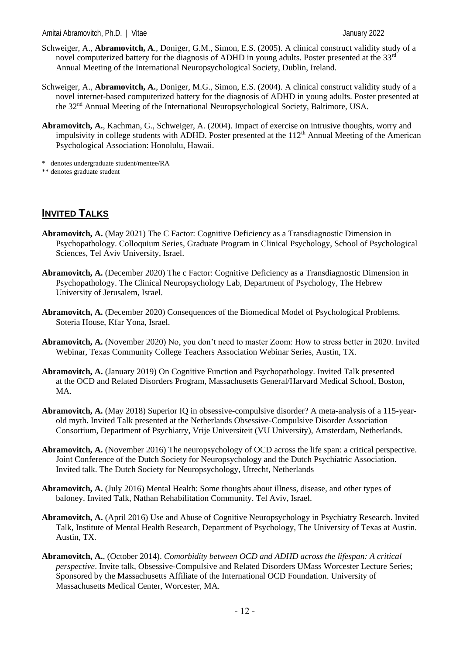- Schweiger, A., **Abramovitch, A**., Doniger, G.M., Simon, E.S. (2005). A clinical construct validity study of a novel computerized battery for the diagnosis of ADHD in young adults. Poster presented at the 33<sup>rd</sup> Annual Meeting of the International Neuropsychological Society, Dublin, Ireland.
- Schweiger, A., **Abramovitch, A.**, Doniger, M.G., Simon, E.S. (2004). A clinical construct validity study of a novel internet-based computerized battery for the diagnosis of ADHD in young adults. Poster presented at the 32<sup>nd</sup> Annual Meeting of the International Neuropsychological Society, Baltimore, USA.
- **Abramovitch, A.**, Kachman, G., Schweiger, A. (2004). Impact of exercise on intrusive thoughts, worry and impulsivity in college students with ADHD. Poster presented at the  $112<sup>th</sup>$  Annual Meeting of the American Psychological Association: Honolulu, Hawaii.

\* denotes undergraduate student/mentee/RA

\*\* denotes graduate student

## **INVITED TALKS**

- **Abramovitch, A.** (May 2021) The C Factor: Cognitive Deficiency as a Transdiagnostic Dimension in Psychopathology. Colloquium Series, Graduate Program in Clinical Psychology, School of Psychological Sciences, Tel Aviv University, Israel.
- **Abramovitch, A.** (December 2020) The c Factor: Cognitive Deficiency as a Transdiagnostic Dimension in Psychopathology. The Clinical Neuropsychology Lab, Department of Psychology, The Hebrew University of Jerusalem, Israel.
- **Abramovitch, A.** (December 2020) Consequences of the Biomedical Model of Psychological Problems. Soteria House, Kfar Yona, Israel.
- **Abramovitch, A.** (November 2020) No, you don't need to master Zoom: How to stress better in 2020. Invited Webinar, Texas Community College Teachers Association Webinar Series, Austin, TX.
- **Abramovitch, A.** (January 2019) On Cognitive Function and Psychopathology. Invited Talk presented at the OCD and Related Disorders Program, Massachusetts General/Harvard Medical School, Boston, MA.
- **Abramovitch, A.** (May 2018) Superior IQ in obsessive-compulsive disorder? A meta-analysis of a 115-yearold myth. Invited Talk presented at the Netherlands Obsessive-Compulsive Disorder Association Consortium, Department of Psychiatry, Vrije Universiteit (VU University), Amsterdam, Netherlands.
- **Abramovitch, A.** (November 2016) The neuropsychology of OCD across the life span: a critical perspective. Joint Conference of the Dutch Society for Neuropsychology and the Dutch Psychiatric Association. Invited talk. The Dutch Society for Neuropsychology, Utrecht, Netherlands
- **Abramovitch, A.** (July 2016) Mental Health: Some thoughts about illness, disease, and other types of baloney. Invited Talk, Nathan Rehabilitation Community. Tel Aviv, Israel.
- **Abramovitch, A.** (April 2016) Use and Abuse of Cognitive Neuropsychology in Psychiatry Research. Invited Talk, Institute of Mental Health Research, Department of Psychology, The University of Texas at Austin. Austin, TX.
- **Abramovitch, A.**, (October 2014). *Comorbidity between OCD and ADHD across the lifespan: A critical perspective*. Invite talk, Obsessive-Compulsive and Related Disorders UMass Worcester Lecture Series; Sponsored by the Massachusetts Affiliate of the International OCD Foundation. University of Massachusetts Medical Center, Worcester, MA.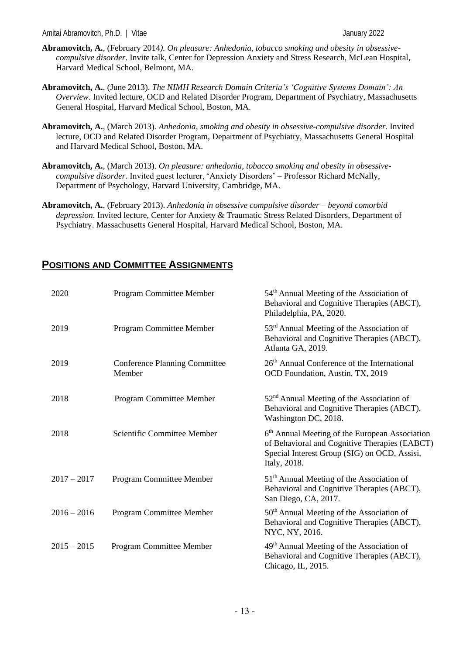- **Abramovitch, A.**, (February 2014*). On pleasure: Anhedonia, tobacco smoking and obesity in obsessivecompulsive disorder*. Invite talk, Center for Depression Anxiety and Stress Research, McLean Hospital, Harvard Medical School, Belmont, MA.
- **Abramovitch, A.**, (June 2013). *The NIMH Research Domain Criteria's 'Cognitive Systems Domain': An Overview*. Invited lecture, OCD and Related Disorder Program, Department of Psychiatry, Massachusetts General Hospital, Harvard Medical School, Boston, MA.
- **Abramovitch, A.**, (March 2013). *Anhedonia, smoking and obesity in obsessive-compulsive disorder*. Invited lecture, OCD and Related Disorder Program, Department of Psychiatry, Massachusetts General Hospital and Harvard Medical School, Boston, MA.
- **Abramovitch, A.**, (March 2013). *On pleasure: anhedonia, tobacco smoking and obesity in obsessivecompulsive disorder.* Invited guest lecturer, 'Anxiety Disorders' – Professor Richard McNally, Department of Psychology, Harvard University, Cambridge, MA.
- **Abramovitch, A.**, (February 2013). *Anhedonia in obsessive compulsive disorder – beyond comorbid depression*. Invited lecture, Center for Anxiety & Traumatic Stress Related Disorders, Department of Psychiatry. Massachusetts General Hospital, Harvard Medical School, Boston, MA.

## **POSITIONS AND COMMITTEE ASSIGNMENTS**

| 2020          | Program Committee Member                       | 54 <sup>th</sup> Annual Meeting of the Association of<br>Behavioral and Cognitive Therapies (ABCT),<br>Philadelphia, PA, 2020.                                              |  |
|---------------|------------------------------------------------|-----------------------------------------------------------------------------------------------------------------------------------------------------------------------------|--|
| 2019          | Program Committee Member                       | $53rd$ Annual Meeting of the Association of<br>Behavioral and Cognitive Therapies (ABCT),<br>Atlanta GA, 2019.                                                              |  |
| 2019          | <b>Conference Planning Committee</b><br>Member | 26 <sup>th</sup> Annual Conference of the International<br>OCD Foundation, Austin, TX, 2019                                                                                 |  |
| 2018          | Program Committee Member                       | $52nd$ Annual Meeting of the Association of<br>Behavioral and Cognitive Therapies (ABCT),<br>Washington DC, 2018.                                                           |  |
| 2018          | Scientific Committee Member                    | 6 <sup>th</sup> Annual Meeting of the European Association<br>of Behavioral and Cognitive Therapies (EABCT)<br>Special Interest Group (SIG) on OCD, Assisi,<br>Italy, 2018. |  |
| $2017 - 2017$ | Program Committee Member                       | $51th$ Annual Meeting of the Association of<br>Behavioral and Cognitive Therapies (ABCT),<br>San Diego, CA, 2017.                                                           |  |
| $2016 - 2016$ | Program Committee Member                       | $50th$ Annual Meeting of the Association of<br>Behavioral and Cognitive Therapies (ABCT),<br>NYC, NY, 2016.                                                                 |  |
| $2015 - 2015$ | Program Committee Member                       | 49 <sup>th</sup> Annual Meeting of the Association of<br>Behavioral and Cognitive Therapies (ABCT),<br>Chicago, IL, 2015.                                                   |  |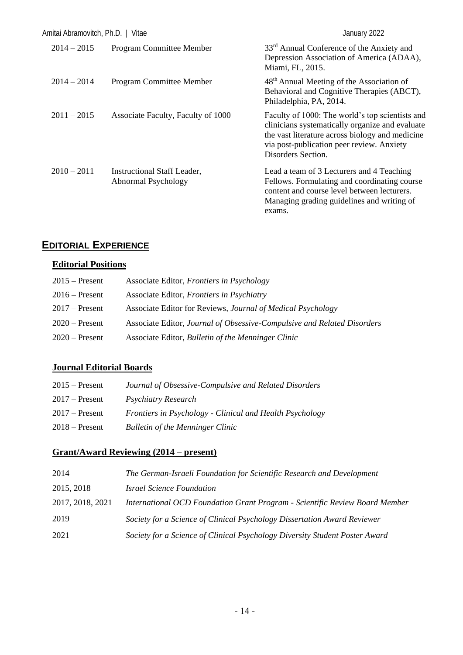| Amitai Abramovitch, Ph.D.   Vitae |                                                           | January 2022                                                                                                                                                                                                             |
|-----------------------------------|-----------------------------------------------------------|--------------------------------------------------------------------------------------------------------------------------------------------------------------------------------------------------------------------------|
| $2014 - 2015$                     | <b>Program Committee Member</b>                           | 33 <sup>rd</sup> Annual Conference of the Anxiety and<br>Depression Association of America (ADAA),<br>Miami, FL, 2015.                                                                                                   |
| $2014 - 2014$                     | <b>Program Committee Member</b>                           | 48 <sup>th</sup> Annual Meeting of the Association of<br>Behavioral and Cognitive Therapies (ABCT),<br>Philadelphia, PA, 2014.                                                                                           |
| $2011 - 2015$                     | Associate Faculty, Faculty of 1000                        | Faculty of 1000: The world's top scientists and<br>clinicians systematically organize and evaluate<br>the vast literature across biology and medicine<br>via post-publication peer review. Anxiety<br>Disorders Section. |
| $2010 - 2011$                     | <b>Instructional Staff Leader,</b><br>Abnormal Psychology | Lead a team of 3 Lecturers and 4 Teaching<br>Fellows. Formulating and coordinating course<br>content and course level between lecturers.<br>Managing grading guidelines and writing of<br>exams.                         |

# **EDITORIAL EXPERIENCE**

## **Editorial Positions**

| $2015$ – Present | Associate Editor, <i>Frontiers in Psychology</i>                        |
|------------------|-------------------------------------------------------------------------|
| $2016$ – Present | Associate Editor, Frontiers in Psychiatry                               |
| $2017$ – Present | Associate Editor for Reviews, Journal of Medical Psychology             |
| $2020$ – Present | Associate Editor, Journal of Obsessive-Compulsive and Related Disorders |
| $2020$ – Present | Associate Editor, Bulletin of the Menninger Clinic                      |

## **Journal Editorial Boards**

| $2015$ – Present | Journal of Obsessive-Compulsive and Related Disorders    |
|------------------|----------------------------------------------------------|
| $2017 -$ Present | <i>Psychiatry Research</i>                               |
| $2017 -$ Present | Frontiers in Psychology - Clinical and Health Psychology |
| $2018 -$ Present | <b>Bulletin of the Menninger Clinic</b>                  |

## **Grant/Award Reviewing (2014 – present)**

| 2014             | The German-Israeli Foundation for Scientific Research and Development       |
|------------------|-----------------------------------------------------------------------------|
| 2015, 2018       | <i><b>Israel Science Foundation</b></i>                                     |
| 2017, 2018, 2021 | International OCD Foundation Grant Program - Scientific Review Board Member |
| 2019             | Society for a Science of Clinical Psychology Dissertation Award Reviewer    |
| 2021             | Society for a Science of Clinical Psychology Diversity Student Poster Award |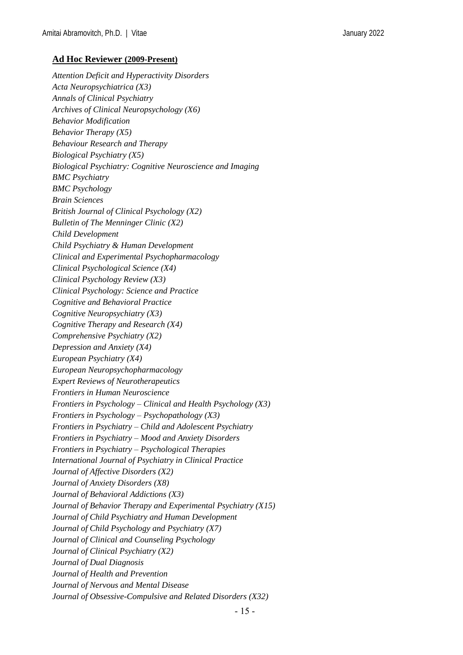#### **Ad Hoc Reviewer (2009-Present)**

*Attention Deficit and Hyperactivity Disorders Acta Neuropsychiatrica (X3) Annals of Clinical Psychiatry Archives of Clinical Neuropsychology (X6) Behavior Modification Behavior Therapy (X5) Behaviour Research and Therapy Biological Psychiatry (X5) Biological Psychiatry: Cognitive Neuroscience and Imaging BMC Psychiatry BMC Psychology Brain Sciences British Journal of Clinical Psychology (X2) Bulletin of The Menninger Clinic (X2) Child Development Child Psychiatry & Human Development Clinical and Experimental Psychopharmacology Clinical Psychological Science (X4) Clinical Psychology Review (X3) Clinical Psychology: Science and Practice Cognitive and Behavioral Practice Cognitive Neuropsychiatry (X3) Cognitive Therapy and Research (X4) Comprehensive Psychiatry (X2) Depression and Anxiety (X4) European Psychiatry (X4) European Neuropsychopharmacology Expert Reviews of Neurotherapeutics Frontiers in Human Neuroscience Frontiers in Psychology – Clinical and Health Psychology (X3) Frontiers in Psychology – Psychopathology (X3) Frontiers in Psychiatry – Child and Adolescent Psychiatry Frontiers in Psychiatry – Mood and Anxiety Disorders Frontiers in Psychiatry – Psychological Therapies International Journal of Psychiatry in Clinical Practice Journal of Affective Disorders (X2) Journal of Anxiety Disorders (X8) Journal of Behavioral Addictions (X3) Journal of Behavior Therapy and Experimental Psychiatry (X15) Journal of Child Psychiatry and Human Development Journal of Child Psychology and Psychiatry (X7) Journal of Clinical and Counseling Psychology Journal of Clinical Psychiatry (X2) Journal of Dual Diagnosis Journal of Health and Prevention Journal of Nervous and Mental Disease Journal of Obsessive-Compulsive and Related Disorders (X32)*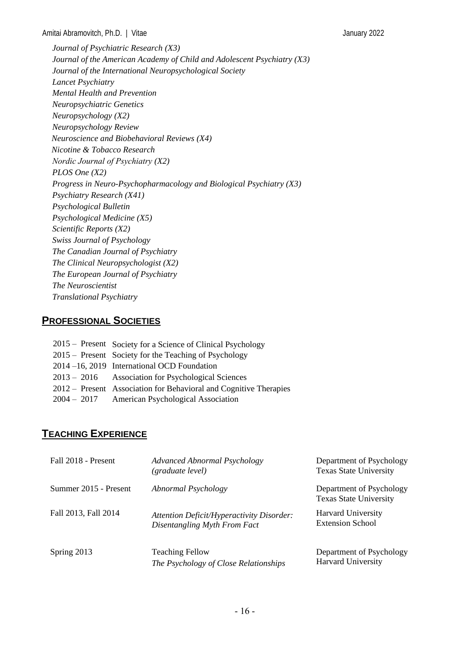*Journal of Psychiatric Research (X3) Journal of the American Academy of Child and Adolescent Psychiatry (X3) Journal of the International Neuropsychological Society Lancet Psychiatry Mental Health and Prevention Neuropsychiatric Genetics Neuropsychology (X2) Neuropsychology Review Neuroscience and Biobehavioral Reviews (X4) Nicotine & Tobacco Research Nordic Journal of Psychiatry (X2) PLOS One (X2) Progress in Neuro-Psychopharmacology and Biological Psychiatry (X3) Psychiatry Research (X41) Psychological Bulletin Psychological Medicine (X5) Scientific Reports (X2) Swiss Journal of Psychology The Canadian Journal of Psychiatry The Clinical Neuropsychologist (X2) The European Journal of Psychiatry The Neuroscientist Translational Psychiatry*

## **PROFESSIONAL SOCIETIES**

| 2015 – Present Society for a Science of Clinical Psychology       |
|-------------------------------------------------------------------|
| 2015 – Present Society for the Teaching of Psychology             |
| 2014–16, 2019 International OCD Foundation                        |
| 2013 – 2016 • Association for Psychological Sciences              |
| 2012 – Present Association for Behavioral and Cognitive Therapies |
| 2004 – 2017 • American Psychological Association                  |

## **TEACHING EXPERIENCE**

| Fall 2018 - Present   | <b>Advanced Abnormal Psychology</b><br>(graduate level)                   | Department of Psychology<br><b>Texas State University</b> |
|-----------------------|---------------------------------------------------------------------------|-----------------------------------------------------------|
| Summer 2015 - Present | Abnormal Psychology                                                       | Department of Psychology<br><b>Texas State University</b> |
| Fall 2013, Fall 2014  | Attention Deficit/Hyperactivity Disorder:<br>Disentangling Myth From Fact | <b>Harvard University</b><br><b>Extension School</b>      |
| Spring 2013           | <b>Teaching Fellow</b><br>The Psychology of Close Relationships           | Department of Psychology<br><b>Harvard University</b>     |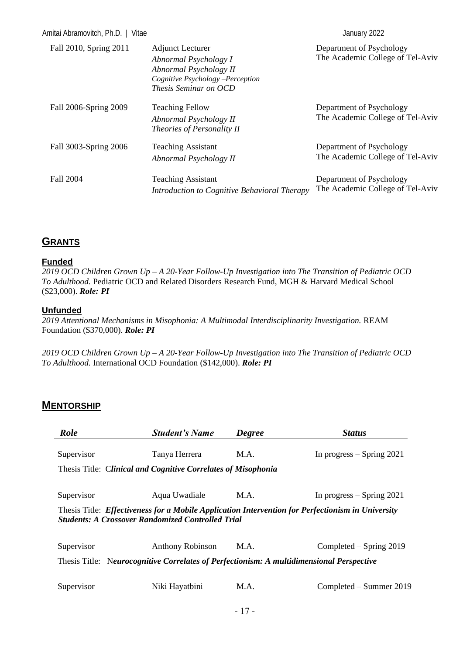| Amitai Abramovitch, Ph.D.   Vitae |                                                                                                                                                | January 2022                                                 |
|-----------------------------------|------------------------------------------------------------------------------------------------------------------------------------------------|--------------------------------------------------------------|
| Fall 2010, Spring 2011            | <b>Adjunct Lecturer</b><br>Abnormal Psychology I<br>Abnormal Psychology II<br>Cognitive Psychology -Perception<br><i>Thesis Seminar on OCD</i> | Department of Psychology<br>The Academic College of Tel-Aviv |
| Fall 2006-Spring 2009             | <b>Teaching Fellow</b><br>Abnormal Psychology II<br>Theories of Personality II                                                                 | Department of Psychology<br>The Academic College of Tel-Aviv |
| Fall 3003-Spring 2006             | <b>Teaching Assistant</b><br>Abnormal Psychology II                                                                                            | Department of Psychology<br>The Academic College of Tel-Aviv |
| <b>Fall 2004</b>                  | <b>Teaching Assistant</b><br>Introduction to Cognitive Behavioral Therapy                                                                      | Department of Psychology<br>The Academic College of Tel-Aviv |

## **GRANTS**

#### **Funded**

*2019 OCD Children Grown Up – A 20-Year Follow-Up Investigation into The Transition of Pediatric OCD To Adulthood.* Pediatric OCD and Related Disorders Research Fund, MGH & Harvard Medical School (\$23,000). *Role: PI*

#### **Unfunded**

*2019 Attentional Mechanisms in Misophonia: A Multimodal Interdisciplinarity Investigation.* REAM Foundation (\$370,000). *Role: PI*

*2019 OCD Children Grown Up – A 20-Year Follow-Up Investigation into The Transition of Pediatric OCD To Adulthood.* International OCD Foundation (\$142,000). *Role: PI*

## **MENTORSHIP**

| Role                                                                                                                                                          | <b>Student's Name</b>   | <b>Degree</b> | <b>Status</b>               |
|---------------------------------------------------------------------------------------------------------------------------------------------------------------|-------------------------|---------------|-----------------------------|
| Supervisor                                                                                                                                                    | Tanya Herrera           | M.A.          | In progress $-$ Spring 2021 |
| Thesis Title: Clinical and Cognitive Correlates of Misophonia                                                                                                 |                         |               |                             |
| Supervisor                                                                                                                                                    | Aqua Uwadiale           | M.A.          | In progress $-$ Spring 2021 |
| Thesis Title: Effectiveness for a Mobile Application Intervention for Perfectionism in University<br><b>Students: A Crossover Randomized Controlled Trial</b> |                         |               |                             |
| Supervisor                                                                                                                                                    | <b>Anthony Robinson</b> | M.A.          | Completed $-$ Spring 2019   |
| Thesis Title: Neurocognitive Correlates of Perfectionism: A multidimensional Perspective                                                                      |                         |               |                             |
| Supervisor                                                                                                                                                    | Niki Hayatbini          | M.A.          | Completed – Summer 2019     |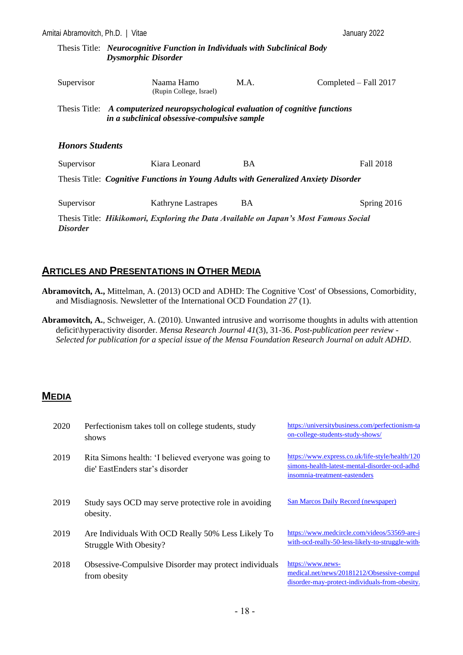| Amitai Abramovitch, Ph.D.   Vitae |                                                                                                                                   |           | January 2022          |
|-----------------------------------|-----------------------------------------------------------------------------------------------------------------------------------|-----------|-----------------------|
|                                   | Thesis Title: <i>Neurocognitive Function in Individuals with Subclinical Body</i><br><b>Dysmorphic Disorder</b>                   |           |                       |
| Supervisor                        | Naama Hamo<br>(Rupin College, Israel)                                                                                             | M.A.      | Completed – Fall 2017 |
|                                   | Thesis Title: A computerized neuropsychological evaluation of cognitive functions<br>in a subclinical obsessive-compulsive sample |           |                       |
| <b>Honors Students</b>            |                                                                                                                                   |           |                       |
| Supervisor                        | Kiara Leonard                                                                                                                     | <b>BA</b> | Fall 2018             |
|                                   | Thesis Title: Cognitive Functions in Young Adults with Generalized Anxiety Disorder                                               |           |                       |
| Supervisor                        | <b>Kathryne Lastrapes</b>                                                                                                         | <b>BA</b> | Spring $2016$         |
| <i>Disorder</i>                   | Thesis Title: <i>Hikikomori, Exploring the Data Available on Japan's Most Famous Social</i>                                       |           |                       |

## **ARTICLES AND PRESENTATIONS IN OTHER MEDIA**

- **Abramovitch, A.,** Mittelman, A. (2013) OCD and ADHD: The Cognitive 'Cost' of Obsessions, Comorbidity, and Misdiagnosis. Newsletter of the International OCD Foundation *27* (1).
- **Abramovitch, A.**, Schweiger, A. (2010). Unwanted intrusive and worrisome thoughts in adults with attention deficit\hyperactivity disorder. *Mensa Research Journal 41*(3), 31-36. *Post-publication peer review - Selected for publication for a special issue of the Mensa Foundation Research Journal on adult ADHD*.

## **MEDIA**

| 2020 | Perfectionism takes toll on college students, study<br>shows                             | https://universitybusiness.com/perfectionism-ta<br>on-college-students-study-shows/                                                |
|------|------------------------------------------------------------------------------------------|------------------------------------------------------------------------------------------------------------------------------------|
| 2019 | Rita Simons health: 'I believed everyone was going to<br>die' EastEnders star's disorder | https://www.express.co.uk/life-style/health/120<br>simons-health-latest-mental-disorder-ocd-adhd-<br>insomnia-treatment-eastenders |
| 2019 | Study says OCD may serve protective role in avoiding<br>obesity.                         | San Marcos Daily Record (newspaper)                                                                                                |
| 2019 | Are Individuals With OCD Really 50% Less Likely To<br>Struggle With Obesity?             | https://www.medcircle.com/videos/53569-are-i<br>with-ocd-really-50-less-likely-to-struggle-with-                                   |
| 2018 | Obsessive-Compulsive Disorder may protect individuals<br>from obesity                    | https://www.news-<br>medical.net/news/20181212/Obsessive-compul<br>disorder-may-protect-individuals-from-obesity.                  |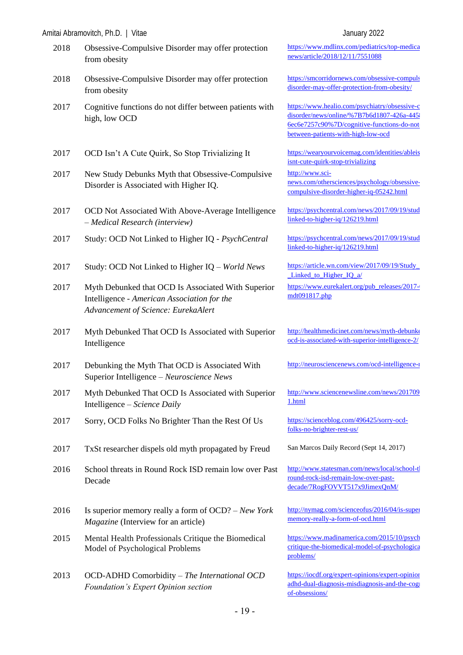|      | Amitai Abramovitch, Ph.D.   Vitae                                                                                                        | January 2022                                                                                                                                |
|------|------------------------------------------------------------------------------------------------------------------------------------------|---------------------------------------------------------------------------------------------------------------------------------------------|
| 2018 | Obsessive-Compulsive Disorder may offer protection<br>from obesity                                                                       | https://www.mdlinx.com/pediatric<br>news/article/2018/12/11/7551088                                                                         |
| 2018 | Obsessive-Compulsive Disorder may offer protection<br>from obesity                                                                       | https://smcorridornews.com/obsess<br>disorder-may-offer-protection-fron                                                                     |
| 2017 | Cognitive functions do not differ between patients with<br>high, low OCD                                                                 | https://www.healio.com/psychiatry<br>disorder/news/online/%7B7b6d180<br>6ec6e7257c90%7D/cognitive-func<br>between-patients-with-high-low-oo |
| 2017 | OCD Isn't A Cute Quirk, So Stop Trivializing It                                                                                          | https://wearyourvoicemag.com/ide<br>isnt-cute-quirk-stop-trivializing                                                                       |
| 2017 | New Study Debunks Myth that Obsessive-Compulsive<br>Disorder is Associated with Higher IQ.                                               | http://www.sci-<br>news.com/othersciences/psycholog<br>compulsive-disorder-higher-iq-052                                                    |
| 2017 | OCD Not Associated With Above-Average Intelligence<br>- Medical Research (interview)                                                     | https://psychcentral.com/news/201<br>linked-to-higher-iq/126219.html                                                                        |
| 2017 | Study: OCD Not Linked to Higher IQ - PsychCentral                                                                                        | https://psychcentral.com/news/201<br>linked-to-higher-iq/126219.html                                                                        |
| 2017 | Study: OCD Not Linked to Higher IQ - World News                                                                                          | https://article.wn.com/view/2017/0<br>Linked to Higher IQ a/                                                                                |
| 2017 | Myth Debunked that OCD Is Associated With Superior<br>Intelligence - American Association for the<br>Advancement of Science: EurekaAlert | https://www.eurekalert.org/pub_re<br>mdt091817.php                                                                                          |
| 2017 | Myth Debunked That OCD Is Associated with Superior<br>Intelligence                                                                       | http://healthmedicinet.com/news/n<br>ocd-is-associated-with-superior-int                                                                    |
| 2017 | Debunking the Myth That OCD is Associated With<br>Superior Intelligence - Neuroscience News                                              | http://neurosciencenews.com/ocd-i                                                                                                           |
| 2017 | Myth Debunked That OCD Is Associated with Superior<br>Intelligence – Science Daily                                                       | http://www.sciencenewsline.com/r<br>1.html                                                                                                  |
| 2017 | Sorry, OCD Folks No Brighter Than the Rest Of Us                                                                                         | https://scienceblog.com/496425/so<br>folks-no-brighter-rest-us/                                                                             |
| 2017 | TxSt researcher dispels old myth propagated by Freud                                                                                     | San Marcos Daily Record (Sept 14                                                                                                            |
| 2016 | School threats in Round Rock ISD remain low over Past<br>Decade                                                                          | http://www.statesman.com/news/lo<br>round-rock-isd-remain-low-over-p<br>decade/7RogFOVVT517x9JimexQ                                         |
| 2016 | Is superior memory really a form of $OCD$ ? – New York<br>Magazine (Interview for an article)                                            | http://nymag.com/scienceofus/201<br>memory-really-a-form-of-ocd.html                                                                        |
| 2015 | Mental Health Professionals Critique the Biomedical<br>Model of Psychological Problems                                                   | https://www.madinamerica.com/20<br>critique-the-biomedical-model-of-<br>problems/                                                           |
| 2013 | OCD-ADHD Comorbidity - The International OCD<br>Foundation's Expert Opinion section                                                      | https://iocdf.org/expert-opinions/ex<br>adhd-dual-diagnosis-misdiagnosis-                                                                   |

https://www.mdlinx.com/pediatrics/top-medicalnews/article/2018/12/11/7551088

https://smcorridornews.com/obsessive-compuls disorder-may-offer-protection-from-obesity/

https://www.healio.com/psychiatry/obsessive-c disorder/news/online/%7B7b6d1807-426a-4458 6ec6e7257c90%7D/cognitive-functions-do-not[between-patients-with-high-low-ocd](https://www.healio.com/psychiatry/obsessive-compulsive-disorder/news/online/%7B7b6d1807-426a-4458-b1dd-6ec6e7257c90%7D/cognitive-functions-do-not-differ-between-patients-with-high-low-ocd)

2018 https://wearyourvoicemag.com/identities/ableis snt-cute-quirk-stop-trivializing

[http://www.sci](http://www.sci-news.com/othersciences/psychology/obsessive-compulsive-disorder-higher-iq-05242.html)[news.com/othersciences/psychology/obsessive](http://www.sci-news.com/othersciences/psychology/obsessive-compulsive-disorder-higher-iq-05242.html)[compulsive-disorder-higher-iq-05242.html](http://www.sci-news.com/othersciences/psychology/obsessive-compulsive-disorder-higher-iq-05242.html)

https://psychcentral.com/news/2017/09/19/stud [linked-to-higher-iq/126219.html](https://psychcentral.com/news/2017/09/19/study-ocd-not-linked-to-higher-iq/126219.html)

2017/09/19/stud<sub>2</sub>/https://psychcentral.com/news/2017/09/19/stud [linked-to-higher-iq/126219.html](https://psychcentral.com/news/2017/09/19/study-ocd-not-linked-to-higher-iq/126219.html)

2017/09/19/Study: https://article.wn.com/view/2017/09/19/Study Linked to Higher IQ a/

https://www.eurekalert.org/pub\_releases/2017-0 [mdt091817.php](https://www.eurekalert.org/pub_releases/2017-09/aabu-mdt091817.php)

http://healthmedicinet.com/news/myth-debunke [ocd-is-associated-with-superior-intelligence-2/](http://healthmedicinet.com/news/myth-debunked-that-ocd-is-associated-with-superior-intelligence-2/)

http://neurosciencenews.com/ocd-intelligence-

http://www.sciencenewsline.com/news/201709 [1.html](http://www.sciencenewsline.com/news/2017091818260001.html)

1ttps://scienceblog.com/496425/sorry-ocd[folks-no-brighter-rest-us/](https://scienceblog.com/496425/sorry-ocd-folks-no-brighter-rest-us/)

San Marcos Daily Record (Sept 14, 2017)

http://www.statesman.com/news/local/school-th [round-rock-isd-remain-low-over-past](http://www.statesman.com/news/local/school-threats-round-rock-isd-remain-low-over-past-decade/7RogFOVVT517x9JimexQnM/)[decade/7RogFOVVT517x9JimexQnM/](http://www.statesman.com/news/local/school-threats-round-rock-isd-remain-low-over-past-decade/7RogFOVVT517x9JimexQnM/)

http://nymag.com/scienceofus/2016/04/is-super [memory-really-a-form-of-ocd.html](http://nymag.com/scienceofus/2016/04/is-superior-memory-really-a-form-of-ocd.html)

https://www.madinamerica.com/2015/10/psychology [critique-the-biomedical-model-of-psychological](https://www.madinamerica.com/2015/10/psychologists-critique-the-biomedical-model-of-psychological-problems/)[problems/](https://www.madinamerica.com/2015/10/psychologists-critique-the-biomedical-model-of-psychological-problems/)

https://iocdf.org/expert-opinions/expert-opinion adhd-dual-diagnosis-misdiagnosis-and-the-cognitive[of-obsessions/](https://iocdf.org/expert-opinions/expert-opinion-ocd-and-adhd-dual-diagnosis-misdiagnosis-and-the-cognitive-cost-of-obsessions/)